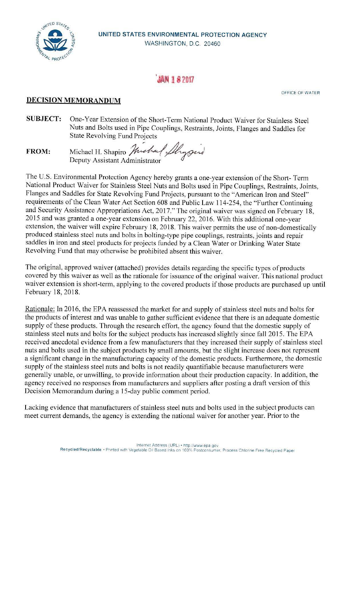

## **編製 182017**

OFFICE OF WATER

## **DECISION MEMORANDUM**

**SUBJECT:** One-Year Extension of the Short-Term National Product Waiver for Stainless Steel Nuts and Bolts used in Pipe Couplings, Restraints, Joints, Flanges and Saddles for State Revolving Fund Projects in Pipe Couplings, Restraints, Joints, Fla<br>d Projects<br>*Junehal Lhygud* 

**FROM:**  Deputy Assistant Administrator Michael H. Shapiro

The U.S. Environmental Protection Agency hereby grants a one-year extension of the Short- Term National Product Waiver for Stainless Steel Nuts and Bolts used in Pipe Couplings, Restraints, Joints, Flanges and Saddles for State Revolving Fund Projects, pursuant to the "American Iron and Steel" requirements of the Clean Water Act Section 608 and Public Law 114-254, the "Further Continuing and Security Assistance Appropriations Act, 2017." The original waiver was signed on February 18, 2015 and was granted a one-year extension on February 22, 2016. With this additional one-year extension, the waiver will expire February 18, 2018. This waiver permits the use of non-domestically produced stainless steel nuts and bolts in bolting-type pipe couplings, restraints, joints and repair saddles in iron and steel products for projects funded by a Clean Water or Drinking Water State Revolving Fund that may otherwise be prohibited absent this waiver.

The original, approved waiver (attached) provides details regarding the specific types of products covered by this waiver as well as the rationale for issuance of the original waiver. This national product waiver extension is short-term, applying to the covered products if those products are purchased up until February 18, 2018.

Rationale: In 2016, the EPA reassessed the market for and supply of stainless steel nuts and bolts for the products of interest and was unable to gather sufficient evidence that there is an adequate domestic supply of these products. Through the research effort, the agency found that the domestic supply of stainless steel nuts and bolts for the subject products has increased slightly since fall 2015. The EPA received anecdotal evidence from a few manufacturers that they increased their supply of stainless steel nuts and bolts used in the subject products by small amounts, but the slight increase does not represent a significant change in the manufacturing capacity of the domestic products. Furthermore, the domestic supply of the stainless steel nuts and bolts is not readily quantifiable because manufacturers were generally unable, or unwilling, to provide information about their production capacity. In addition, the agency received no responses from manufacturers and suppliers after posting a draft version of this Decision Memorandum during a 15-day public comment period.

Lacking evidence that manufacturers of stainless steel nuts and bolts used in the subject products can meet current demands, the agency is extending the national waiver for another year. Prior to the

Internet Address (URL) • http //www.epa.gov<br>Recycled/Recyclable • Printed with Vegetable Oil Based Inks on 100% Postconsumer. Process Chlorine Free Recycled Paper